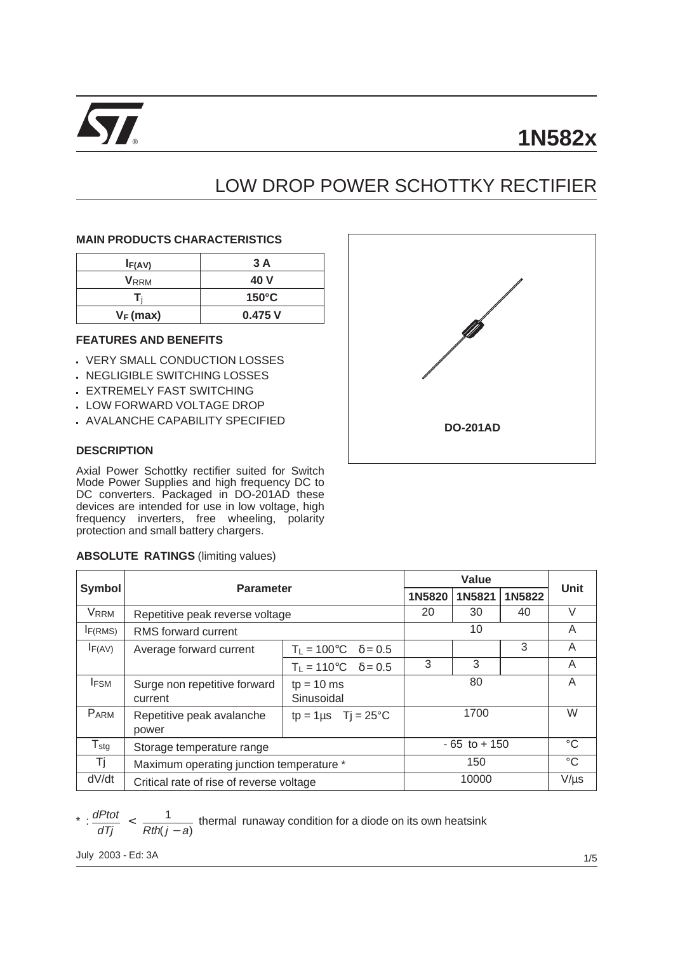

# **1N582x**

# LOW DROP POWER SCHOTTKY RECTIFIER

## **MAIN PRODUCTS CHARACTERISTICS**

| I <sub>F</sub> (AV)     | 3 A             |
|-------------------------|-----------------|
| <b>V</b> <sub>RRM</sub> | 40 V            |
|                         | $150^{\circ}$ C |
| $V_F$ (max)             | 0.475V          |

# **FEATURES AND BENEFITS**

- . VERY SMALL CONDUCTION LOSSES
- n NEGLIGIBLE SWITCHING LOSSES
- **EXTREMELY FAST SWITCHING**
- LOW FORWARD VOLTAGE DROP
- . AVALANCHE CAPABILITY SPECIFIED

# **DESCRIPTION**

Г

Axial Power Schottky rectifier suited for Switch Mode Power Supplies and high frequency DC to DC converters. Packaged in DO-201AD these devices are intended for use in low voltage, high frequency inverters, free wheeling, polarity protection and small battery chargers.

#### **ABSOLUTE RATINGS** (limiting values)

| <b>DO-201AD</b> |
|-----------------|

| <b>Symbol</b>    | <b>Parameter</b>                         |                                           | <b>Unit</b> |        |                 |   |
|------------------|------------------------------------------|-------------------------------------------|-------------|--------|-----------------|---|
| 1N5820           |                                          |                                           |             | 1N5821 | 1N5822          |   |
| <b>VRRM</b>      | Repetitive peak reverse voltage          | 20                                        | 30          | 40     | V               |   |
| $I_{F(RMS)}$     | RMS forward current                      | 10                                        |             |        | A               |   |
| $I_{F(AV)}$      | Average forward current                  | $T_{L} = 100^{\circ}C \quad \delta = 0.5$ |             |        | 3               | A |
|                  |                                          | $T_L = 110^{\circ}C \quad \delta = 0.5$   | 3           | 3      |                 | A |
| <b>IFSM</b>      | Surge non repetitive forward<br>current  |                                           | 80          |        | A               |   |
| PARM             | Repetitive peak avalanche<br>power       |                                           | 1700        |        | W               |   |
| $T_{\text{stg}}$ | Storage temperature range                | $-65$ to $+150$                           |             |        | $^{\circ}C$     |   |
| Τj               | Maximum operating junction temperature * | 150                                       |             |        | $\rm ^{\circ}C$ |   |
| dV/dt            | Critical rate of rise of reverse voltage | 10000                                     |             |        | $V/\mu s$       |   |

 $\frac{dPtot}{dt}$  $\frac{dP}{dT}$   $\leq$   $\frac{1}{Rth(j - a)}$  thermal runaway condition for a diode on its own heatsink

July 2003 - Ed: 3A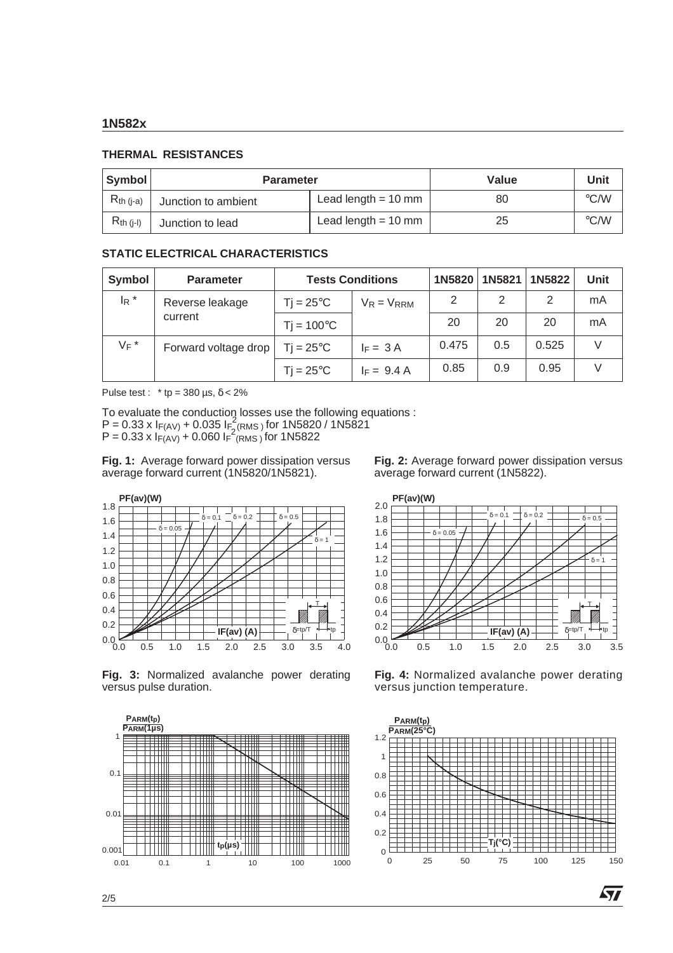#### **1N582x**

### **THERMAL RESISTANCES**

| Symbol         | <b>Parameter</b>    | Value                 | Unit |                    |
|----------------|---------------------|-----------------------|------|--------------------|
| $R_{th (i-a)}$ | Junction to ambient | Lead length $= 10$ mm | 80   | $\rm ^{\circ}$ C/W |
| $R_{th}$ (j-l) | Junction to lead    | Lead length $= 10$ mm | 25   | $\rm ^{\circ}$ C/W |

# **STATIC ELECTRICAL CHARACTERISTICS**

| Symbol  | <b>Parameter</b>     | <b>Tests Conditions</b> | 1N5820          | 1N5821 | 1N5822 | <b>Unit</b> |    |
|---------|----------------------|-------------------------|-----------------|--------|--------|-------------|----|
| $I_R$ * | Reverse leakage      | $Tj = 25^{\circ}C$      | $V_R = V_{RRM}$ | 2      | 2      | 2           | mA |
|         | current              | $Tj = 100^{\circ}C$     |                 | 20     | 20     | 20          | mA |
| $V_F$ * | Forward voltage drop | $Ti = 25^{\circ}C$      | $I_F = 3A$      | 0.475  | 0.5    | 0.525       |    |
|         |                      | $Ti = 25^{\circ}C$      | $F = 9.4 A$     | 0.85   | 0.9    | 0.95        |    |

Pulse test : \* tp =  $380 \text{ }\mu\text{s}, \delta < 2\%$ 

To evaluate the conduction losses use the following equations :  $P = 0.33 \times I_{F(AV)} + 0.035 I_{F(aMS)}$  for 1N5820 / 1N5821  $P = 0.33 \times I_{F(AV)} + 0.060 I_{F}^2$  (RMS) for 1N5822

**Fig. 1:** Average forward power dissipation versus average forward current (1N5820/1N5821).

**Fig. 2:** Average forward power dissipation versus average forward current (1N5822).



2.0 **PF(av)(W)**



**Fig. 3:** Normalized avalanche power derating versus pulse duration.



**Fig. 4:** Normalized avalanche power derating versus junction temperature.



57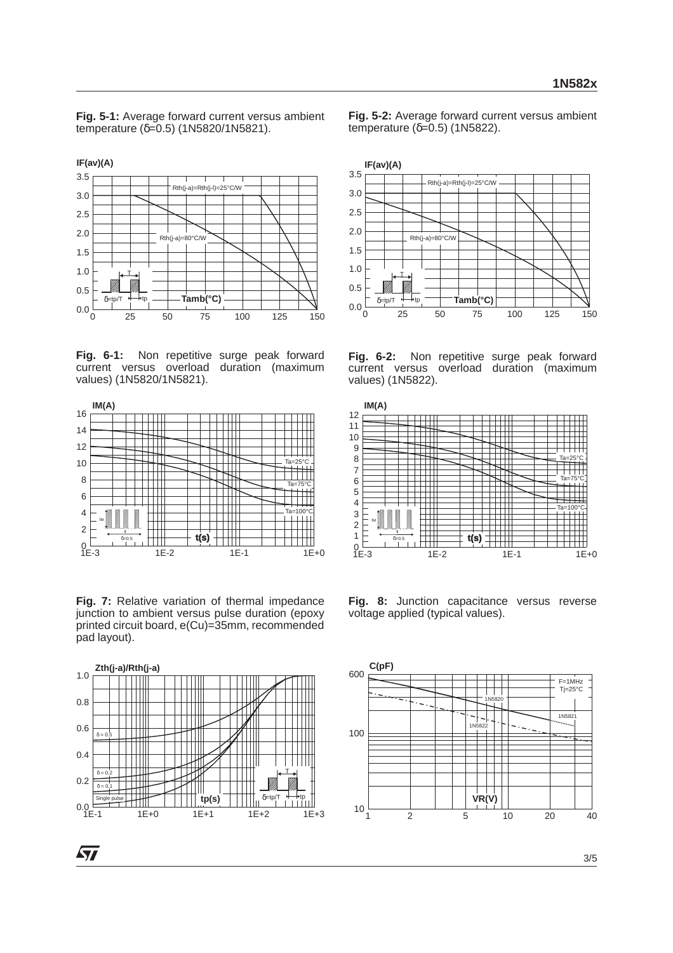**Fig. 5-1:** Average forward current versus ambient temperature (δ=0.5) (1N5820/1N5821).



**Fig. 6-1:** Non repetitive surge peak forward current versus overload duration (maximum values) (1N5820/1N5821).



**Fig. 7:** Relative variation of thermal impedance junction to ambient versus pulse duration (epoxy printed circuit board, e(Cu)=35mm, recommended pad layout).



*ST* 

**Fig. 5-2:** Average forward current versus ambient temperature  $(δ=0.5)$  (1N5822).



**Fig. 6-2:** Non repetitive surge peak forward current versus overload duration (maximum values) (1N5822).



**Fig. 8:** Junction capacitance versus reverse voltage applied (typical values).

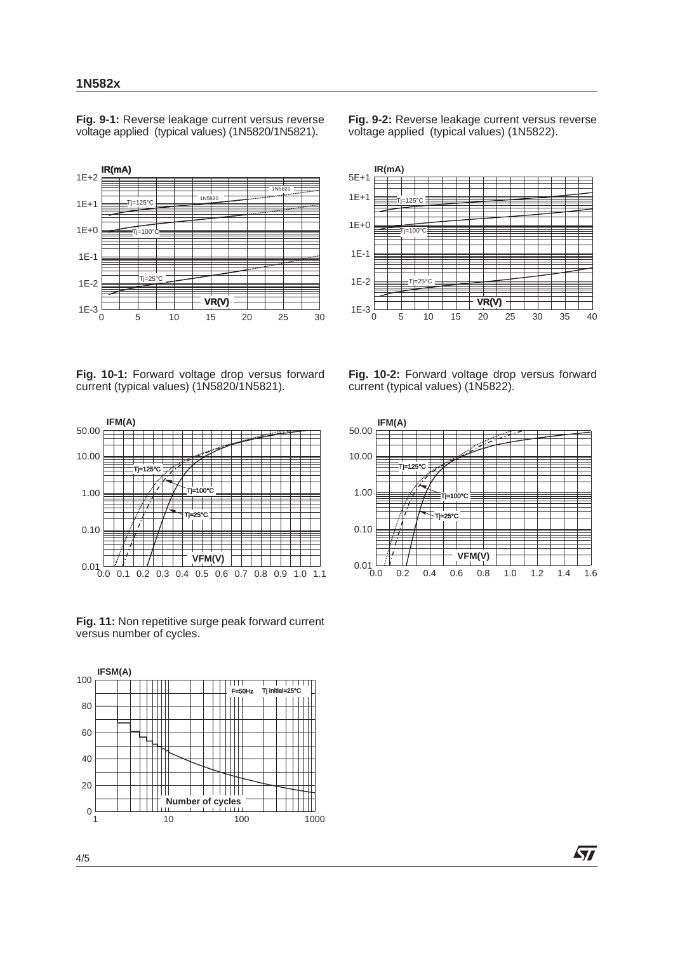**Fig. 9-1:** Reverse leakage current versus reverse voltage applied (typical values) (1N5820/1N5821).



**Fig. 9-2:** Reverse leakage current versus reverse voltage applied (typical values) (1N5822).



**Fig. 10-1:** Forward voltage drop versus forward current (typical values) (1N5820/1N5821).



**Fig. 11:** Non repetitive surge peak forward current versus number of cycles.



**Fig. 10-2:** Forward voltage drop versus forward current (typical values) (1N5822).



57